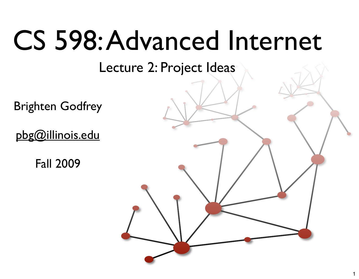#### CS 598: Advanced Internet

Lecture 2: Project Ideas

Brighten Godfrey

[pbg@illinois.edu](mailto:pbg@illinois.edu)

Fall 2009

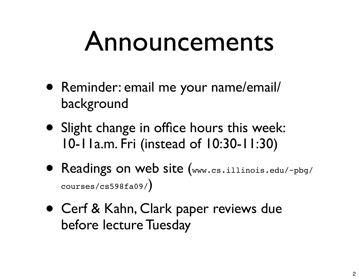#### Announcements

- Reminder: email me your name/email/ background
- Slight change in office hours this week: 10-11a.m. Fri (instead of 10:30-11:30)
- Readings on web site (www.cs.illinois.edu/~pbg/ courses/cs598fa09/)
- Cerf & Kahn, Clark paper reviews due before lecture Tuesday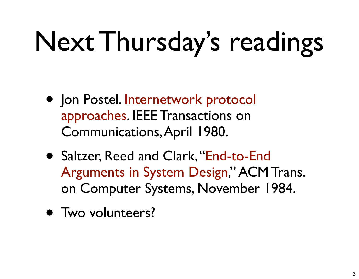# Next Thursday's readings

- Jon Postel. Internetwork protocol approaches. IEEE Transactions on Communications, April 1980.
- Saltzer, Reed and Clark, "End-to-End Arguments in System Design," ACM Trans. on Computer Systems, November 1984.
- Two volunteers?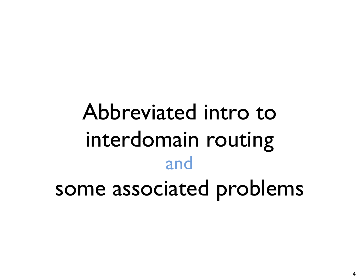#### Abbreviated intro to interdomain routing and some associated problems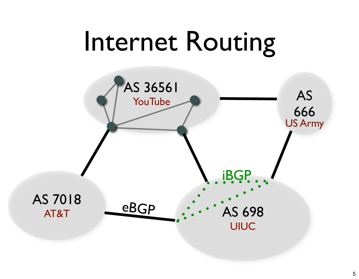#### Internet Routing

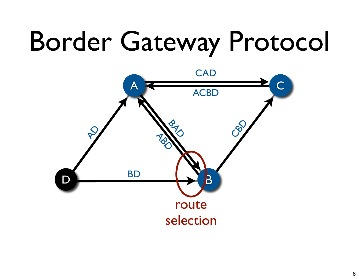## Border Gateway Protocol

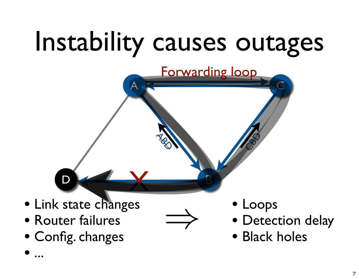## Instability causes outages

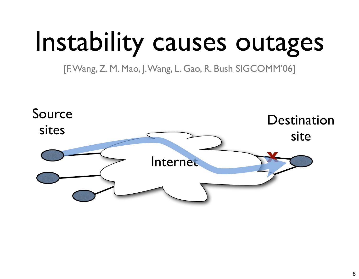## Instability causes outages

[F. Wang, Z. M. Mao, J. Wang, L. Gao, R. Bush SIGCOMM'06]

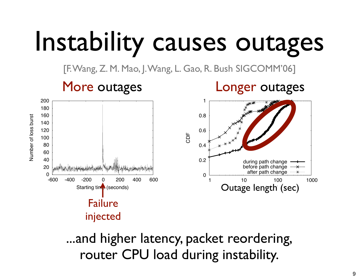## Instability causes outages

[F. Wang, Z. M. Mao, J. Wang, L. Gao, R. Bush SIGCOMM'06]



**Figure 3: Data plane performance during failover-1 events in which the route via** ISP1 **is withdrawn.** router CPU load during instability. ...and higher latency, packet reordering,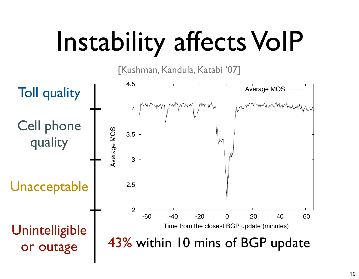## Instability affects VoIP

[Kushman, Kandula, Katabi '07]

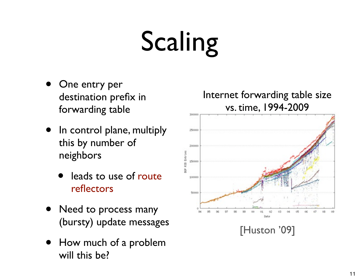# Scaling

- One entry per destination prefix in forwarding table
- In control plane, multiply this by number of neighbors
	- leads to use of route reflectors
- Need to process many (bursty) update messages
- How much of a problem will this be?

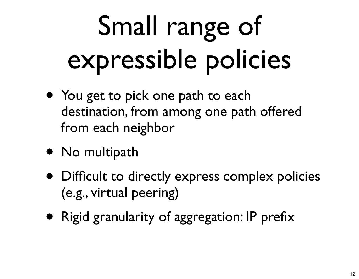# Small range of expressible policies

- You get to pick one path to each destination, from among one path offered from each neighbor
- No multipath
- Difficult to directly express complex policies (e.g., virtual peering)
- Rigid granularity of aggregation: IP prefix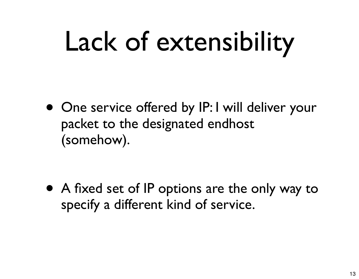## Lack of extensibility

• One service offered by IP: I will deliver your packet to the designated endhost (somehow).

• A fixed set of IP options are the only way to specify a different kind of service.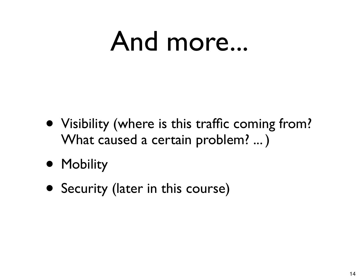#### And more...

- Visibility (where is this traffic coming from? What caused a certain problem? ... )
- Mobility
- Security (later in this course)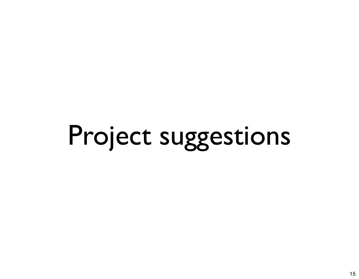## Project suggestions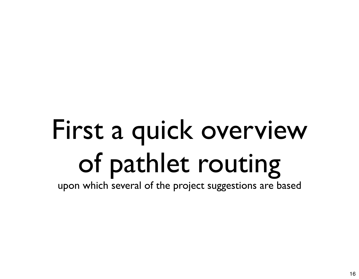## First a quick overview of pathlet routing

upon which several of the project suggestions are based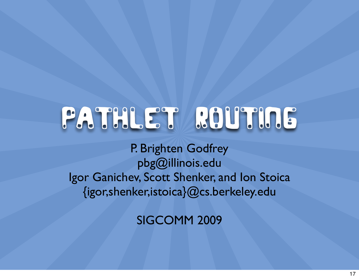#### Pathlet Routing

P. Brighten Godfrey [pbg@illinois.edu](mailto:pbg@illinois.edu) Igor Ganichev, Scott Shenker, and Ion Stoica {igor,shenker,istoica}@cs.berkeley.edu

SIGCOMM 2009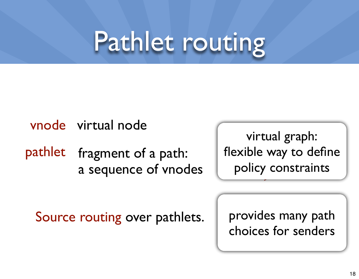#### Pathlet routing

vnode virtual node

pathlet fragment of a path: a sequence of vnodes

virtual graph: flexible way to define policy constraints

Source routing over pathlets.

provides many path choices for senders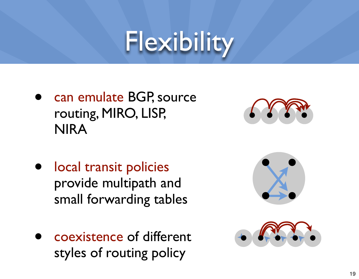#### Flexibility

can emulate BGP, source routing, MIRO, LISP, NIRA



- local transit policies provide multipath and small forwarding tables
- coexistence of different styles of routing policy

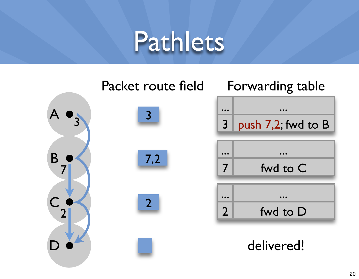#### Pathlets

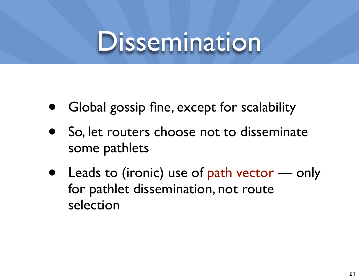#### Dissemination

- Global gossip fine, except for scalability
- So, let routers choose not to disseminate some pathlets
- Leads to (ironic) use of path vector  $-$  only for pathlet dissemination, not route selection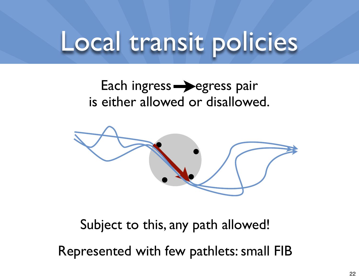#### Local transit policies

#### Each ingress  $\rightarrow$  egress pair is either allowed or disallowed.



Subject to this, any path allowed!

Represented with few pathlets: small FIB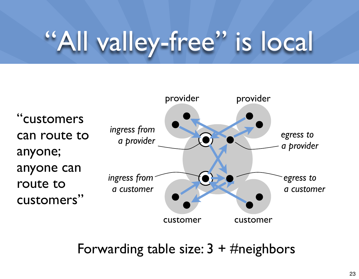### "All valley-free" is local



Forwarding table size:  $3 + \#$ neighbors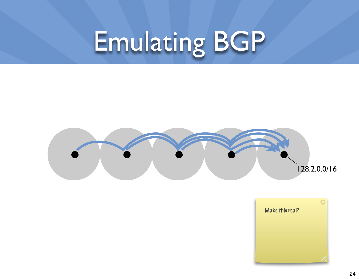## Emulating BGP



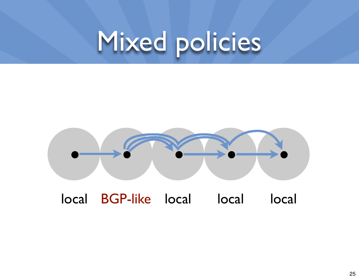#### Mixed policies



local BGP-like local local local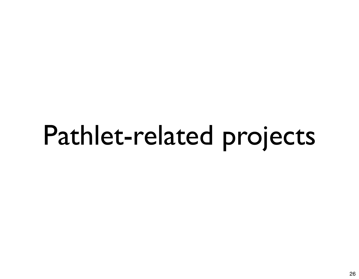#### Pathlet-related projects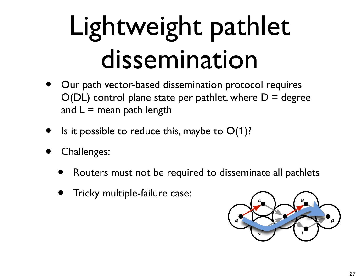## Lightweight pathlet dissemination

- Our path vector-based dissemination protocol requires  $O(DL)$  control plane state per pathlet, where  $D =$  degree and  $L =$  mean path length
- Is it possible to reduce this, maybe to  $O(1)$ ?
- Challenges:
	- Routers must not be required to disseminate all pathlets
	- Tricky multiple-failure case:

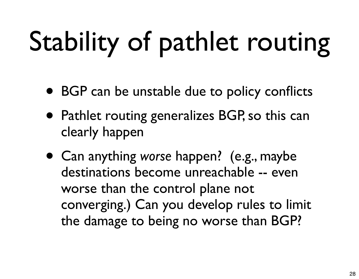# Stability of pathlet routing

- BGP can be unstable due to policy conflicts
- Pathlet routing generalizes BGP, so this can clearly happen
- Can anything *worse* happen? (e.g., maybe destinations become unreachable -- even worse than the control plane not converging.) Can you develop rules to limit the damage to being no worse than BGP?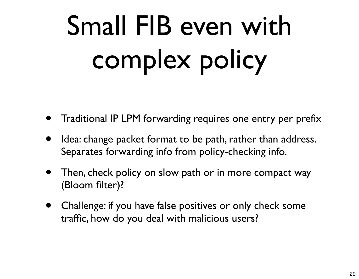# Small FIB even with complex policy

- Traditional IP LPM forwarding requires one entry per prefix
- Idea: change packet format to be path, rather than address. Separates forwarding info from policy-checking info.
- Then, check policy on slow path or in more compact way (Bloom filter)?
- Challenge: if you have false positives or only check some traffic, how do you deal with malicious users?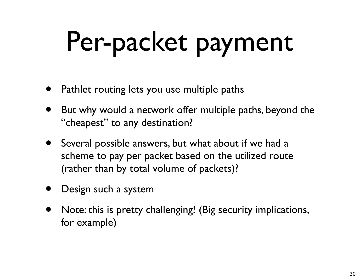## Per-packet payment

- Pathlet routing lets you use multiple paths
- But why would a network offer multiple paths, beyond the "cheapest" to any destination?
- Several possible answers, but what about if we had a scheme to pay per packet based on the utilized route (rather than by total volume of packets)?
- Design such a system
- Note: this is pretty challenging! (Big security implications, for example)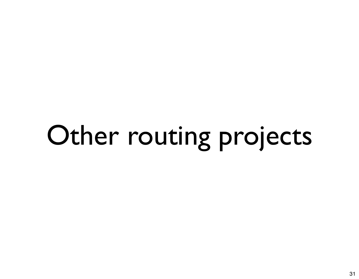# Other routing projects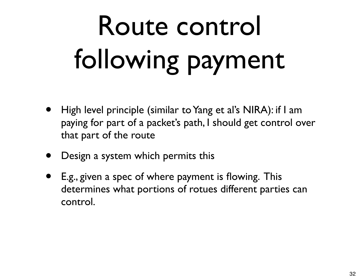# Route control following payment

- High level principle (similar to Yang et al's NIRA): if I am paying for part of a packet's path, I should get control over that part of the route
- Design a system which permits this
- E.g., given a spec of where payment is flowing. This determines what portions of rotues different parties can control.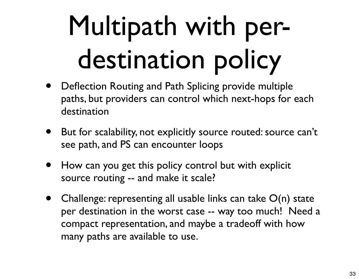## Multipath with perdestination policy

- Deflection Routing and Path Splicing provide multiple paths, but providers can control which next-hops for each destination
- But for scalability, not explicitly source routed: source can't see path, and PS can encounter loops
- How can you get this policy control but with explicit source routing -- and make it scale?
- Challenge: representing all usable links can take  $O(n)$  state per destination in the worst case -- way too much! Need a compact representation, and maybe a tradeoff with how many paths are available to use.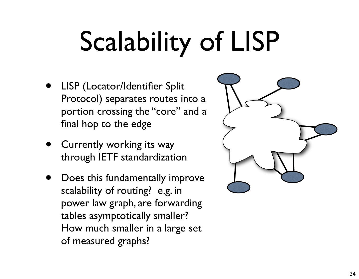# Scalability of LISP

- LISP (Locator/Identifier Split Protocol) separates routes into a portion crossing the "core" and a final hop to the edge
- Currently working its way through IETF standardization
- Does this fundamentally improve scalability of routing? e.g. in power law graph, are forwarding tables asymptotically smaller? How much smaller in a large set of measured graphs?

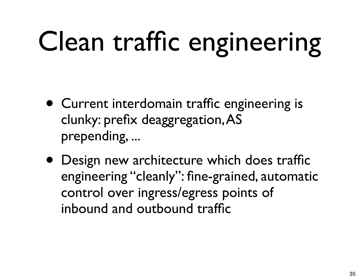## Clean traffic engineering

- Current interdomain traffic engineering is clunky: prefix deaggregation, AS prepending, ...
- Design new architecture which does traffic engineering "cleanly": fine-grained, automatic control over ingress/egress points of inbound and outbound traffic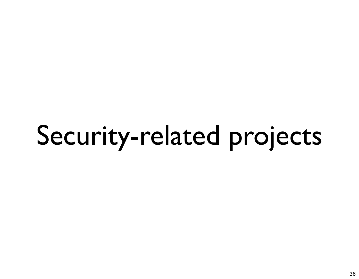## Security-related projects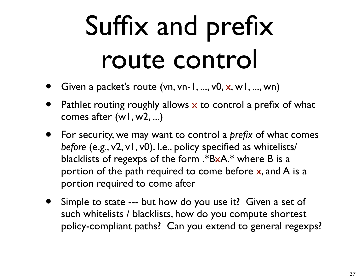## Suffix and prefix route control

- Given a packet's route (vn, vn-1, ..., v0,  $x$ , w1, ..., wn)
- Pathlet routing roughly allows  $x$  to control a prefix of what comes after (w1, w2, ...)
- For security, we may want to control a *prefix* of what comes *before* (e.g., v2, v1, v0). I.e., policy specified as whitelists/ blacklists of regexps of the form .\*BxA.\* where B is a portion of the path required to come before x, and A is a portion required to come after
- Simple to state --- but how do you use it? Given a set of such whitelists / blacklists, how do you compute shortest policy-compliant paths? Can you extend to general regexps?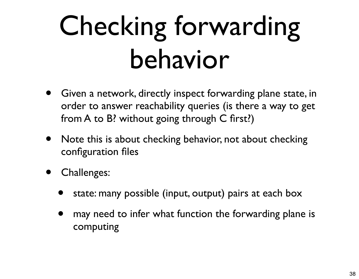## Checking forwarding behavior

- Given a network, directly inspect forwarding plane state, in order to answer reachability queries (is there a way to get from A to B? without going through C first?)
- Note this is about checking behavior, not about checking configuration files
- Challenges:
	- state: many possible (input, output) pairs at each box
	- may need to infer what function the forwarding plane is computing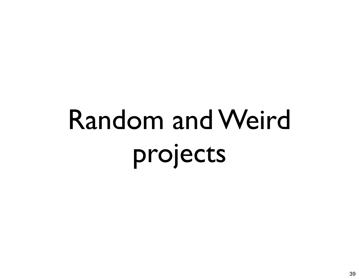# Random and Weird projects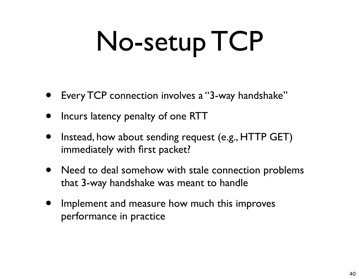# No-setup TCP

- Every TCP connection involves a "3-way handshake"
- Incurs latency penalty of one RTT
- Instead, how about sending request (e.g., HTTP GET) immediately with first packet?
- Need to deal somehow with stale connection problems that 3-way handshake was meant to handle
- Implement and measure how much this improves performance in practice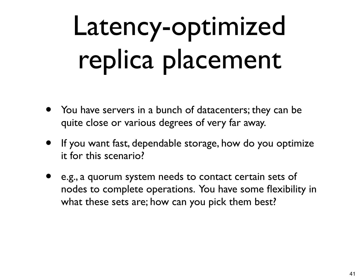## Latency-optimized replica placement

- You have servers in a bunch of datacenters; they can be quite close or various degrees of very far away.
- If you want fast, dependable storage, how do you optimize it for this scenario?
- e.g., a quorum system needs to contact certain sets of nodes to complete operations. You have some flexibility in what these sets are; how can you pick them best?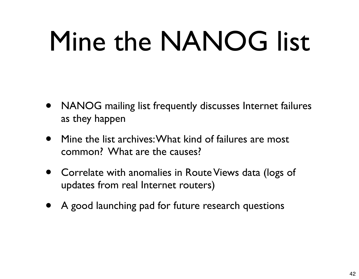## Mine the NANOG list

- NANOG mailing list frequently discusses Internet failures as they happen
- Mine the list archives: What kind of failures are most common? What are the causes?
- Correlate with anomalies in Route Views data (logs of updates from real Internet routers)
- A good launching pad for future research questions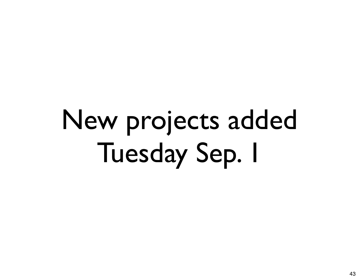## New projects added Tuesday Sep. 1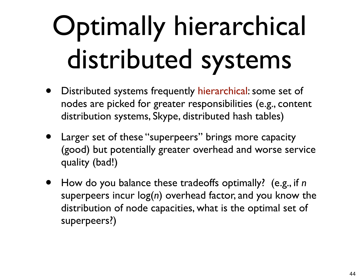## Optimally hierarchical distributed systems

- Distributed systems frequently hierarchical: some set of nodes are picked for greater responsibilities (e.g., content distribution systems, Skype, distributed hash tables)
- Larger set of these "superpeers" brings more capacity (good) but potentially greater overhead and worse service quality (bad!)
- How do you balance these tradeoffs optimally? (e.g., if *<sup>n</sup>* superpeers incur log(*n*) overhead factor, and you know the distribution of node capacities, what is the optimal set of superpeers?)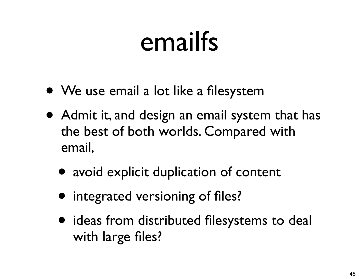#### emailfs

- We use email a lot like a filesystem
- Admit it, and design an email system that has the best of both worlds. Compared with email,
	- avoid explicit duplication of content
	- integrated versioning of files?
	- ideas from distributed filesystems to deal with large files?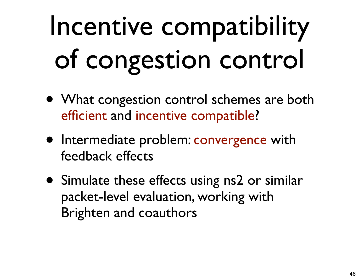# Incentive compatibility of congestion control

- What congestion control schemes are both efficient and incentive compatible?
- Intermediate problem: convergence with feedback effects
- Simulate these effects using ns2 or similar packet-level evaluation, working with Brighten and coauthors